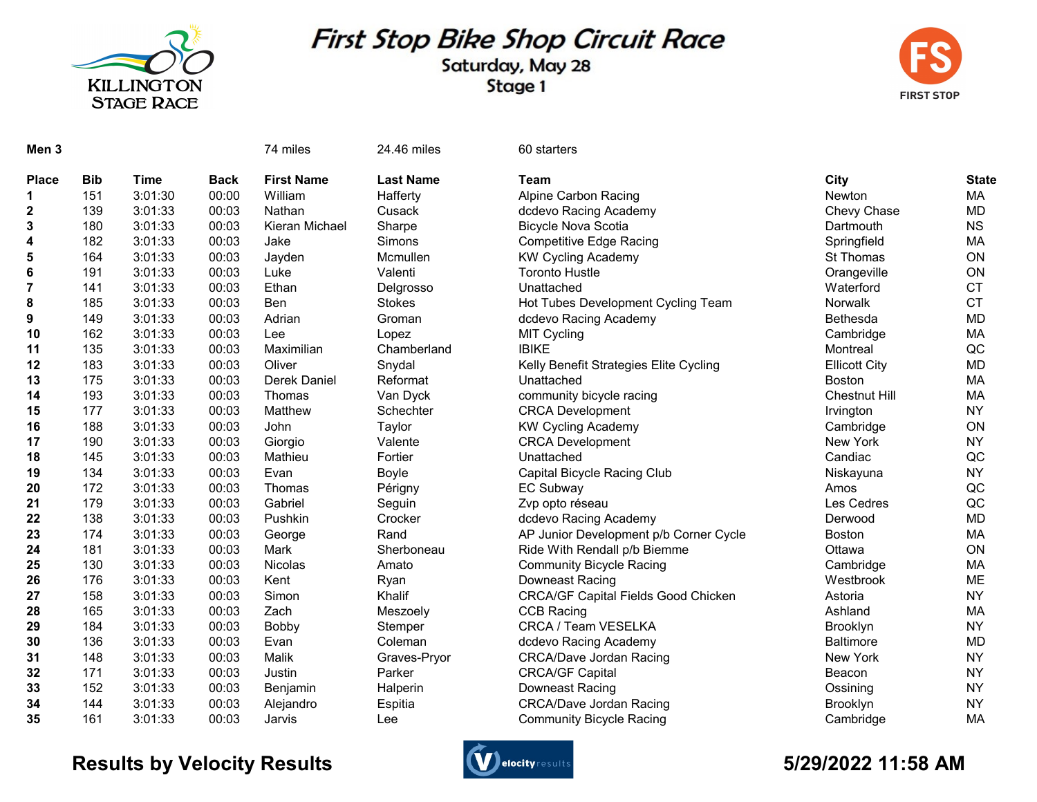

# First Stop Bike Shop Circuit Race

### Saturday, May 28 Stage 1



| Men <sub>3</sub> |            |             |             | 74 miles          | 24.46 miles      | 60 starters                                |                      |              |
|------------------|------------|-------------|-------------|-------------------|------------------|--------------------------------------------|----------------------|--------------|
| <b>Place</b>     | <b>Bib</b> | <b>Time</b> | <b>Back</b> | <b>First Name</b> | <b>Last Name</b> | <b>Team</b>                                | City                 | <b>State</b> |
| 1                | 151        | 3:01:30     | 00:00       | William           | Hafferty         | <b>Alpine Carbon Racing</b>                | Newton               | MA           |
| 2                | 139        | 3:01:33     | 00:03       | Nathan            | Cusack           | dcdevo Racing Academy                      | Chevy Chase          | <b>MD</b>    |
| 3                | 180        | 3:01:33     | 00:03       | Kieran Michael    | Sharpe           | <b>Bicycle Nova Scotia</b>                 | Dartmouth            | <b>NS</b>    |
| 4                | 182        | 3:01:33     | 00:03       | Jake              | Simons           | <b>Competitive Edge Racing</b>             | Springfield          | MA           |
| 5                | 164        | 3:01:33     | 00:03       | Jayden            | Mcmullen         | <b>KW Cycling Academy</b>                  | St Thomas            | ON           |
| 6                | 191        | 3:01:33     | 00:03       | Luke              | Valenti          | <b>Toronto Hustle</b>                      | Orangeville          | ON           |
| $\overline{7}$   | 141        | 3:01:33     | 00:03       | Ethan             | Delgrosso        | Unattached                                 | Waterford            | <b>CT</b>    |
| 8                | 185        | 3:01:33     | 00:03       | <b>Ben</b>        | <b>Stokes</b>    | Hot Tubes Development Cycling Team         | Norwalk              | <b>CT</b>    |
| 9                | 149        | 3:01:33     | 00:03       | Adrian            | Groman           | dcdevo Racing Academy                      | Bethesda             | <b>MD</b>    |
| 10               | 162        | 3:01:33     | 00:03       | Lee               | Lopez            | <b>MIT Cycling</b>                         | Cambridge            | MA           |
| 11               | 135        | 3:01:33     | 00:03       | Maximilian        | Chamberland      | <b>IBIKE</b>                               | Montreal             | QC           |
| 12               | 183        | 3:01:33     | 00:03       | Oliver            | Snydal           | Kelly Benefit Strategies Elite Cycling     | <b>Ellicott City</b> | <b>MD</b>    |
| 13               | 175        | 3:01:33     | 00:03       | Derek Daniel      | Reformat         | Unattached                                 | Boston               | MA           |
| 14               | 193        | 3:01:33     | 00:03       | Thomas            | Van Dyck         | community bicycle racing                   | <b>Chestnut Hill</b> | MA           |
| 15               | 177        | 3:01:33     | 00:03       | Matthew           | Schechter        | <b>CRCA Development</b>                    | Irvington            | <b>NY</b>    |
| 16               | 188        | 3:01:33     | 00:03       | John              | Taylor           | <b>KW Cycling Academy</b>                  | Cambridge            | ON           |
| 17               | 190        | 3:01:33     | 00:03       | Giorgio           | Valente          | <b>CRCA Development</b>                    | New York             | <b>NY</b>    |
| 18               | 145        | 3:01:33     | 00:03       | Mathieu           | Fortier          | Unattached                                 | Candiac              | QC           |
| 19               | 134        | 3:01:33     | 00:03       | Evan              | Boyle            | Capital Bicycle Racing Club                | Niskayuna            | <b>NY</b>    |
| 20               | 172        | 3:01:33     | 00:03       | Thomas            | Périgny          | <b>EC Subway</b>                           | Amos                 | QC           |
| 21               | 179        | 3:01:33     | 00:03       | Gabriel           | Seguin           | Zvp opto réseau                            | Les Cedres           | QC           |
| 22               | 138        | 3:01:33     | 00:03       | Pushkin           | Crocker          | dcdevo Racing Academy                      | Derwood              | <b>MD</b>    |
| 23               | 174        | 3:01:33     | 00:03       | George            | Rand             | AP Junior Development p/b Corner Cycle     | Boston               | MA           |
| 24               | 181        | 3:01:33     | 00:03       | Mark              | Sherboneau       | Ride With Rendall p/b Biemme               | Ottawa               | ON           |
| 25               | 130        | 3:01:33     | 00:03       | Nicolas           | Amato            | <b>Community Bicycle Racing</b>            | Cambridge            | MA           |
| 26               | 176        | 3:01:33     | 00:03       | Kent              | Ryan             | Downeast Racing                            | Westbrook            | <b>ME</b>    |
| 27               | 158        | 3:01:33     | 00:03       | Simon             | Khalif           | <b>CRCA/GF Capital Fields Good Chicken</b> | Astoria              | <b>NY</b>    |
| 28               | 165        | 3:01:33     | 00:03       | Zach              | Meszoely         | <b>CCB Racing</b>                          | Ashland              | <b>MA</b>    |
| 29               | 184        | 3:01:33     | 00:03       | Bobby             | Stemper          | CRCA / Team VESELKA                        | Brooklyn             | <b>NY</b>    |
| 30               | 136        | 3:01:33     | 00:03       | Evan              | Coleman          | dcdevo Racing Academy                      | <b>Baltimore</b>     | <b>MD</b>    |
| 31               | 148        | 3:01:33     | 00:03       | Malik             | Graves-Pryor     | <b>CRCA/Dave Jordan Racing</b>             | New York             | <b>NY</b>    |
| 32               | 171        | 3:01:33     | 00:03       | Justin            | Parker           | <b>CRCA/GF Capital</b>                     | Beacon               | <b>NY</b>    |
| 33               | 152        | 3:01:33     | 00:03       | Benjamin          | Halperin         | Downeast Racing                            | Ossining             | <b>NY</b>    |
| 34               | 144        | 3:01:33     | 00:03       | Alejandro         | Espitia          | <b>CRCA/Dave Jordan Racing</b>             | Brooklyn             | <b>NY</b>    |
| 35               | 161        | 3:01:33     | 00:03       | Jarvis            | Lee              | <b>Community Bicycle Racing</b>            | Cambridge            | MA           |

## Results by Velocity Results **Controllers** and the section of the section of the Section of the Section of the S